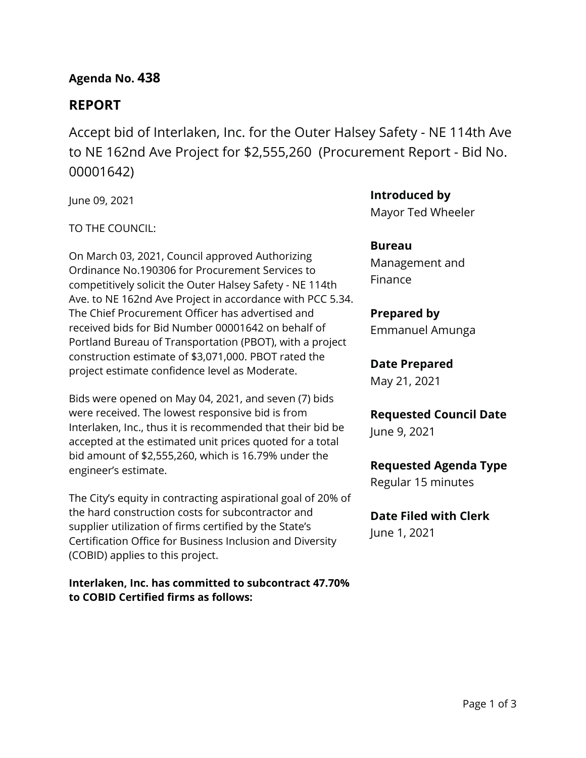## **Agenda No. 438**

# **REPORT**

Accept bid of Interlaken, Inc. for the Outer Halsey Safety - NE 114th Ave to NE 162nd Ave Project for \$2,555,260 (Procurement Report - Bid No. 00001642)

June 09, 2021

TO THE COUNCIL:

On March 03, 2021, Council approved Authorizing Ordinance No.190306 for Procurement Services to competitively solicit the Outer Halsey Safety - NE 114th Ave. to NE 162nd Ave Project in accordance with PCC 5.34. The Chief Procurement Officer has advertised and received bids for Bid Number 00001642 on behalf of Portland Bureau of Transportation (PBOT), with a project construction estimate of \$3,071,000. PBOT rated the project estimate confidence level as Moderate.

Bids were opened on May 04, 2021, and seven (7) bids were received. The lowest responsive bid is from Interlaken, Inc., thus it is recommended that their bid be accepted at the estimated unit prices quoted for a total bid amount of \$2,555,260, which is 16.79% under the engineer's estimate.

The City's equity in contracting aspirational goal of 20% of the hard construction costs for subcontractor and supplier utilization of firms certified by the State's Certification Office for Business Inclusion and Diversity (COBID) applies to this project.

**Interlaken, Inc. has committed to subcontract 47.70% to COBID Certified firms as follows:**

**Introduced by**

Mayor Ted Wheeler

**Bureau** Management and Finance

## **Prepared by**

Emmanuel Amunga

### **Date Prepared**

May 21, 2021

### **Requested Council Date**

June 9, 2021

### **Requested Agenda Type**

Regular 15 minutes

# **Date Filed with Clerk**

June 1, 2021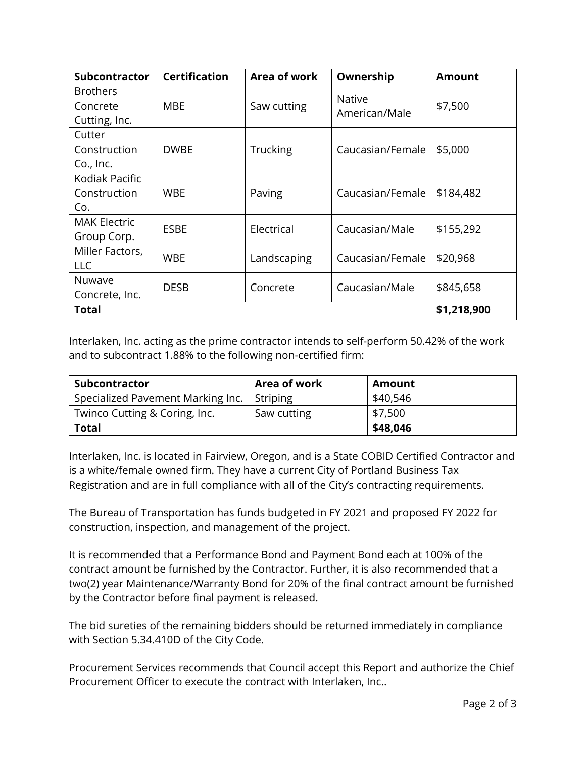| Subcontractor                                | <b>Certification</b> | Area of work    | Ownership                      | <b>Amount</b> |  |
|----------------------------------------------|----------------------|-----------------|--------------------------------|---------------|--|
| <b>Brothers</b><br>Concrete<br>Cutting, Inc. | MBE                  | Saw cutting     | <b>Native</b><br>American/Male | \$7,500       |  |
| Cutter<br>Construction<br>Co., Inc.          | <b>DWBE</b>          | <b>Trucking</b> | Caucasian/Female               | \$5,000       |  |
| Kodiak Pacific<br>Construction<br>Co.        | <b>WBE</b>           | Paving          | Caucasian/Female               | \$184,482     |  |
| <b>MAK Electric</b><br>Group Corp.           | ESBE                 | Electrical      | Caucasian/Male                 | \$155,292     |  |
| Miller Factors,<br><b>LLC</b>                | <b>WBE</b>           | Landscaping     | Caucasian/Female               | \$20,968      |  |
| Nuwave<br>Concrete, Inc.                     | <b>DESB</b>          | Concrete        | Caucasian/Male                 | \$845,658     |  |
| <b>Total</b>                                 |                      |                 |                                | \$1,218,900   |  |

Interlaken, Inc. acting as the prime contractor intends to self-perform 50.42% of the work and to subcontract 1.88% to the following non-certified firm:

| <b>Subcontractor</b>                         | Area of work | Amount   |
|----------------------------------------------|--------------|----------|
| Specialized Pavement Marking Inc.   Striping |              | \$40,546 |
| Twinco Cutting & Coring, Inc.                | Saw cutting  | \$7,500  |
| <b>Total</b>                                 |              | \$48,046 |

Interlaken, Inc. is located in Fairview, Oregon, and is a State COBID Certified Contractor and is a white/female owned firm. They have a current City of Portland Business Tax Registration and are in full compliance with all of the City's contracting requirements.

The Bureau of Transportation has funds budgeted in FY 2021 and proposed FY 2022 for construction, inspection, and management of the project.

It is recommended that a Performance Bond and Payment Bond each at 100% of the contract amount be furnished by the Contractor. Further, it is also recommended that a two(2) year Maintenance/Warranty Bond for 20% of the final contract amount be furnished by the Contractor before final payment is released.

The bid sureties of the remaining bidders should be returned immediately in compliance with Section 5.34.410D of the City Code.

Procurement Services recommends that Council accept this Report and authorize the Chief Procurement Officer to execute the contract with Interlaken, Inc..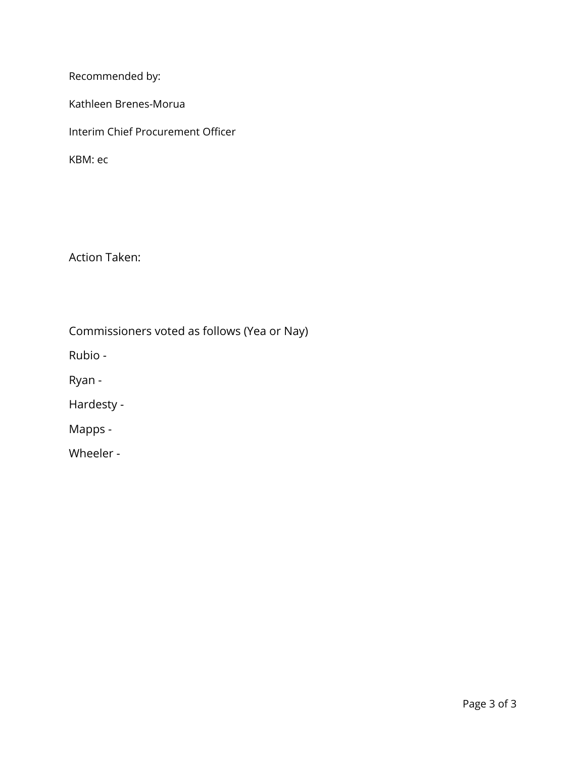Recommended by:

Kathleen Brenes-Morua

Interim Chief Procurement Officer

KBM: ec

Action Taken:

Commissioners voted as follows (Yea or Nay)

Rubio -

Ryan -

Hardesty -

Mapps -

Wheeler -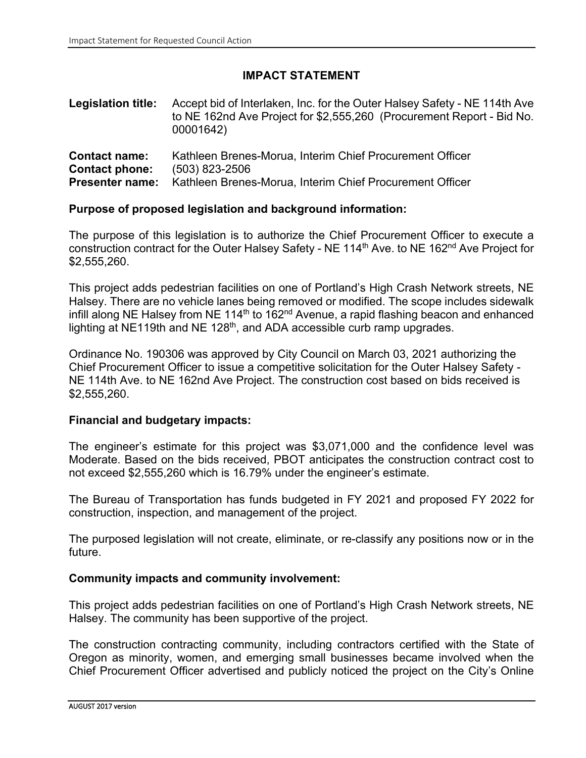### **IMPACT STATEMENT**

| <b>Legislation title:</b> Accept bid of Interlaken, Inc. for the Outer Halsey Safety - NE 114th Ave |
|-----------------------------------------------------------------------------------------------------|
| to NE 162nd Ave Project for \$2,555,260 (Procurement Report - Bid No.                               |
| 00001642)                                                                                           |
|                                                                                                     |

| <b>Contact name:</b>  |                | Kathleen Brenes-Morua, Interim Chief Procurement Officer                        |
|-----------------------|----------------|---------------------------------------------------------------------------------|
| <b>Contact phone:</b> | (503) 823-2506 |                                                                                 |
|                       |                | <b>Presenter name:</b> Kathleen Brenes-Morua, Interim Chief Procurement Officer |

#### **Purpose of proposed legislation and background information:**

The purpose of this legislation is to authorize the Chief Procurement Officer to execute a construction contract for the Outer Halsey Safety - NE 114th Ave. to NE 162nd Ave Project for \$2,555,260.

This project adds pedestrian facilities on one of Portland's High Crash Network streets, NE Halsey. There are no vehicle lanes being removed or modified. The scope includes sidewalk infill along NE Halsey from NE 114th to 162nd Avenue, a rapid flashing beacon and enhanced lighting at NE119th and NE 128<sup>th</sup>, and ADA accessible curb ramp upgrades.

Ordinance No. 190306 was approved by City Council on March 03, 2021 authorizing the Chief Procurement Officer to issue a competitive solicitation for the Outer Halsey Safety - NE 114th Ave. to NE 162nd Ave Project. The construction cost based on bids received is \$2,555,260.

#### **Financial and budgetary impacts:**

The engineer's estimate for this project was \$3,071,000 and the confidence level was Moderate. Based on the bids received, PBOT anticipates the construction contract cost to not exceed \$2,555,260 which is 16.79% under the engineer's estimate.

The Bureau of Transportation has funds budgeted in FY 2021 and proposed FY 2022 for construction, inspection, and management of the project.

The purposed legislation will not create, eliminate, or re-classify any positions now or in the future.

### **Community impacts and community involvement:**

This project adds pedestrian facilities on one of Portland's High Crash Network streets, NE Halsey. The community has been supportive of the project.

The construction contracting community, including contractors certified with the State of Oregon as minority, women, and emerging small businesses became involved when the Chief Procurement Officer advertised and publicly noticed the project on the City's Online